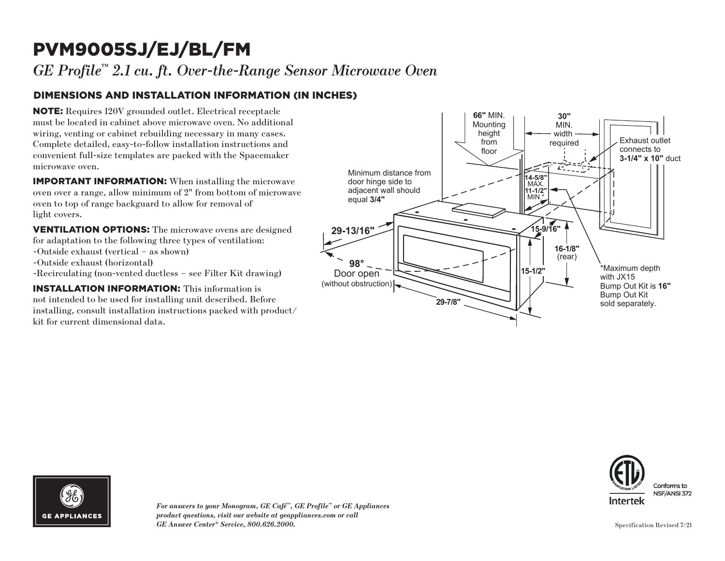## PVM9005SJ/EJ/BL/FM

*GE Profile™ 2.1 cu. ft. Over-the-Range Sensor Microwave Oven*

### DIMENSIONS AND INSTALLATION INFORMATION (IN INCHES)

NOTE: Requires 120V grounded outlet. Electrical receptacle must be located in cabinet above microwave oven. No additional wiring, venting or cabinet rebuilding necessary in many cases. Complete detailed, easy-to-follow installation instructions and convenient full-size templates are packed with the Spacemaker microwave oven.

IMPORTANT INFORMATION: When installing the microwave oven over a range, allow minimum of 2" from bottom of microwave oven to top of range backguard to allow for removal of light covers.

VENTILATION OPTIONS: The microwave ovens are designed for adaptation to the following three types of ventilation: -Outside exhaust (vertical – as shown) -Outside exhaust (horizontal) -Recirculating (non-vented ductless – see Filter Kit drawing)

INSTALLATION INFORMATION: This information is not intended to be used for installing unit described. Before installing, consult installation instructions packed with product/ kit for current dimensional data.







*For answers to your Monogram, GE Café™, GE Profile™ or GE Appliances product questions, visit our website at geappliances.com or call GE Answer Center® Service, 800.626.2000.*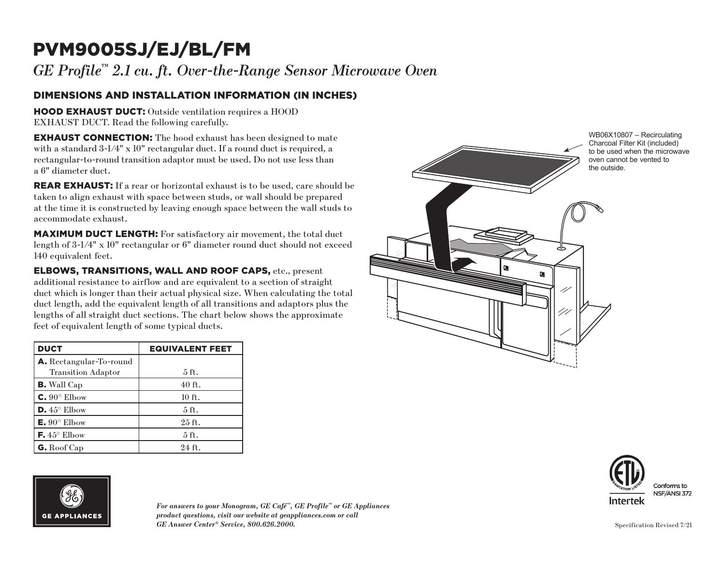# PVM9005SJ/EJ/BL/FM

*GE Profile™ 2.1 cu. ft. Over-the-Range Sensor Microwave Oven*

#### DIMENSIONS AND INSTALLATION INFORMATION (IN INCHES)

HOOD EXHAUST DUCT: Outside ventilation requires a HOOD EXHAUST DUCT. Read the following carefully.

**EXHAUST CONNECTION:** The hood exhaust has been designed to mate with a standard  $3\text{-}1/4$ " x 10" rectangular duct. If a round duct is required, a rectangular-to-round transition adaptor must be used. Do not use less than a 6" diameter duct.

REAR EXHAUST: If a rear or horizontal exhaust is to be used, care should be taken to align exhaust with space between studs, or wall should be prepared at the time it is constructed by leaving enough space between the wall studs to accommodate exhaust.

MAXIMUM DUCT LENGTH: For satisfactory air movement, the total duct length of 3-1/4" x 10" rectangular or 6" diameter round duct should not exceed 140 equivalent feet.

ELBOWS, TRANSITIONS, WALL AND ROOF CAPS, etc., present additional resistance to airflow and are equivalent to a section of straight duct which is longer than their actual physical size. When calculating the total duct length, add the equivalent length of all transitions and adaptors plus the lengths of all straight duct sections. The chart below shows the approximate feet of equivalent length of some typical ducts.

| <b>DUCT</b>                    | <b>EQUIVALENT FEET</b> |
|--------------------------------|------------------------|
| <b>A.</b> Rectangular-To-round |                        |
| <b>Transition Adaptor</b>      | $5$ ft.                |
| <b>B.</b> Wall Cap             | $40$ ft.               |
| $C. 90^\circ$ Elbow            | 10 ft.                 |
| $D.45^{\circ}$ Elbow           | $5$ ft.                |
| $E. 90^{\circ}$ Elbow          | 25 ft.                 |
| F. $45^{\circ}$ Elbow          | $5$ ft.                |
| G. Roof Cap                    | 24 ft.                 |





*For answers to your Monogram, GE Café™, GE Profile™ or GE Appliances product questions, visit our website at geappliances.com or call GE Answer Center® Service, 800.626.2000.*



Conforms to NSF/ANSI 372